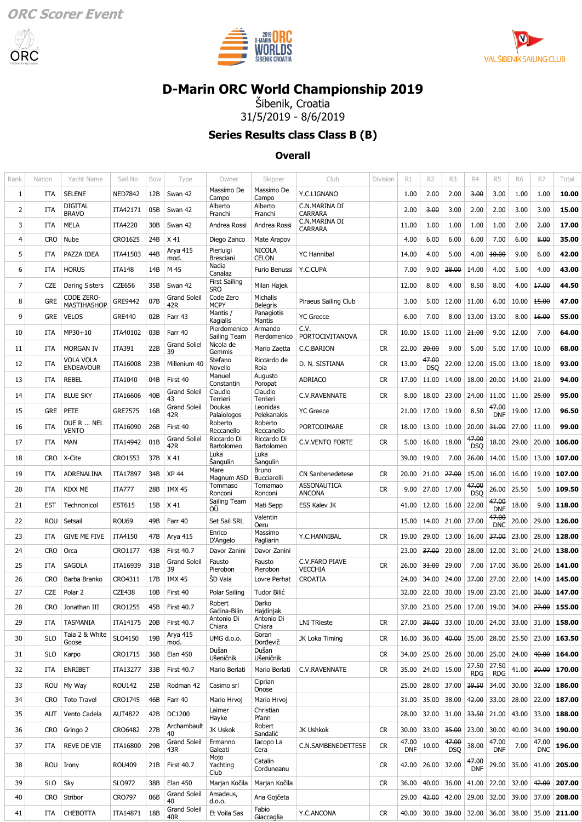





## **[D-Marin ORC World Championship 2019](https://data.orc.org/public/WEV.dll?action=index&eventid=WORLDS19)**

Šibenik, Croatia 31/5/2019 - 8/6/2019

**Series Results class Class B (B)**

#### **Overall**

| Rank           | Nation     | Yacht Name                        | Sail No        | Bow             | Type                          | Owner                              | Skipper                       | Club                                | Division  | R1                  | R <sub>2</sub>      | R3                  | R4                  | R <sub>5</sub>      | <b>R6</b>             | R7                  | Total  |
|----------------|------------|-----------------------------------|----------------|-----------------|-------------------------------|------------------------------------|-------------------------------|-------------------------------------|-----------|---------------------|---------------------|---------------------|---------------------|---------------------|-----------------------|---------------------|--------|
| 1              | ITA        | <b>SELENE</b>                     | <b>NED7842</b> | 12B             | Swan 42                       | Massimo De<br>Campo                | Massimo De<br>Campo           | Y.C.LIGNANO                         |           | 1.00                | 2.00                | 2.00                | 3.00                | 3.00                | 1.00                  | 1.00                | 10.00  |
| 2              | ITA        | <b>DIGITAL</b><br><b>BRAVO</b>    | ITA42171       | 05B             | Swan 42                       | Alberto<br>Franchi                 | Alberto<br>Franchi            | C.N.MARINA DI<br><b>CARRARA</b>     |           | 2.00                | 3.00                | 3.00                | 2.00                | 2.00                | 3.00                  | 3.00                | 15.00  |
| 3              | <b>ITA</b> | <b>MELA</b>                       | <b>ITA4220</b> | 30 <sub>B</sub> | Swan 42                       | Andrea Rossi                       | Andrea Rossi                  | C.N.MARINA DI<br><b>CARRARA</b>     |           | 11.00               | 1.00                | 1.00                | 1.00                | 1.00                | 2.00                  | 2.00                | 17.00  |
| 4              | <b>CRO</b> | Nube                              | CRO1625        | 24B             | X 41                          | Diego Zanco                        | Mate Arapov                   |                                     |           | 4.00                | 6.00                | 6.00                | 6.00                | 7.00                | 6.00                  | 8.00                | 35.00  |
| 5              | ITA        | PAZZA IDEA                        | ITA41503       | 44B             | Arya 415<br>mod.              | Pierluigi<br>Bresciani             | <b>NICOLA</b><br><b>CELON</b> | <b>YC Hannibal</b>                  |           | 14.00               | 4.00                | 5.00                | 4.00                | 10.00               | 9.00                  | 6.00                | 42.00  |
| 6              | ITA        | <b>HORUS</b>                      | <b>ITA148</b>  | 14B             | M 45                          | Nadia<br>Canalaz                   | Furio Benussi                 | Y.C.CUPA                            |           | 7.00                | 9.00                | 28.00               | 14.00               | 4.00                | 5.00                  | 4.00                | 43.00  |
| $\overline{7}$ | <b>CZE</b> | <b>Daring Sisters</b>             | CZE656         | 35B             | Swan 42                       | <b>First Sailing</b><br><b>SRO</b> | Milan Hajek                   |                                     |           | 12.00               | 8.00                | 4.00                | 8.50                | 8.00                | 4.00                  | 17.00               | 44.50  |
| 8              | <b>GRE</b> | CODE ZERO-<br>MASTIHASHOP         | GRE9442        | 07B             | <b>Grand Soleil</b><br>42R    | Code Zero<br><b>MCPY</b>           | Michalis<br><b>Belegris</b>   | Piraeus Sailing Club                |           | 3.00                | 5.00                | 12.00               | 11.00               | 6.00                | 10.00                 | 15.00               | 47.00  |
| 9              | <b>GRE</b> | <b>VELOS</b>                      | <b>GRE440</b>  | 02B             | Farr 43                       | Mantis /<br>Kagialis               | Panagiotis<br>Mantis          | <b>YC</b> Greece                    |           | 6.00                | 7.00                | 8.00                | 13.00               | 13.00               | 8.00                  | 16.00               | 55.00  |
| 10             | ITA        | MP30+10                           | ITA40102       | 03B             | Farr 40                       | Pierdomenico<br>Sailing Team       | Armando<br>Pierdomenico       | C.V.<br>PORTOCIVITANOVA             | <b>CR</b> | 10.00               | 15.00               | 11.00               | 21.00               | 9.00                | 12.00                 | 7.00                | 64.00  |
| 11             | <b>ITA</b> | <b>MORGAN IV</b>                  | ITA391         | 22B             | <b>Grand Soliel</b><br>39     | Nicola de<br>Gemmis                | Mario Zaetta                  | C.C.BARION                          | CR        | 22.00               | 20.00               | 9.00                | 5.00                | 5.00                | 17.00                 | 10.00               | 68.00  |
| 12             | ITA        | VOLA VOLA<br><b>ENDEAVOUR</b>     | ITA16008       | 23B             | Millenium 40                  | Stefano<br>Novello                 | Riccardo de<br>Roia           | D. N. SISTIANA                      | CR.       | 13.00               | 47.00<br><b>DSO</b> | 22.00               | 12.00               | 15.00               | 13.00                 | 18.00               | 93.00  |
| 13             | ITA        | <b>REBEL</b>                      | <b>ITA1040</b> | 04B             | First 40                      | Manuel<br>Constantin               | Augusto<br>Poropat            | <b>ADRIACO</b>                      | CR.       | 17.00               | 11.00               | 14.00               | 18.00               | 20.00               | 14.00                 | 21.00               | 94.00  |
| 14             | <b>ITA</b> | <b>BLUE SKY</b>                   | ITA16606       | 40B             | <b>Grand Soleil</b><br>43     | Claudio<br>Terrieri                | Claudio<br>Terrieri           | C.V.RAVENNATE                       | <b>CR</b> | 8.00                | 18.00               | 23.00               | 24.00               | 11.00               | 11.00                 | 25.00               | 95.00  |
| 15             | <b>GRE</b> | PETE                              | <b>GRE7575</b> | 16B             | <b>Grand Soleil</b><br>42R    | Doukas<br>Palaiologos              | Leonidas<br>Pelekanakis       | <b>YC Greece</b>                    |           | 21.00               | 17.00               | 19.00               | 8.50                | 47.00<br><b>DNF</b> | 19.00                 | 12.00               | 96.50  |
| 16             | ITA        | DUE R  NEL<br><b>VENTO</b>        | ITA16090       | 26B             | First 40                      | Roberto<br>Reccanello              | Roberto<br>Reccanello         | <b>PORTODIMARE</b>                  | <b>CR</b> | 18.00               | 13.00               | 10.00               | 20.00               | 31.00               | 27.00                 | 11.00               | 99.00  |
| 17             | <b>ITA</b> | <b>MAN</b>                        | ITA14942       | 01B             | Grand Soliel<br>42R           | Riccardo Di<br>Bartolomeo          | Riccardo Di<br>Bartolomeo     | <b>C.V.VENTO FORTE</b>              | <b>CR</b> | 5.00                | 16.00               | 18.00               | 47.00<br><b>DSO</b> | 18.00               | 29.00                 | 20.00               | 106.00 |
| 18             | <b>CRO</b> | X-Cite                            | CRO1553        | 37B             | X 41                          | Luka<br><b>Sangulin</b>            | Luka<br>Sangulin              |                                     |           | 39.00               | 19.00               | 7.00                | 26.00               | 14.00               | 15.00                 | 13.00               | 107.00 |
| 19             | ITA        | ADRENALINA                        | ITA17897       | 34B             | XP 44                         | Mare<br>Magnum ASD                 | Bruno<br>Bucciarelli          | <b>CN Sanbenedetese</b>             | <b>CR</b> | 20.00               | 21.00               | 27.00               | 15.00               | 16.00               | 16.00                 | 19.00               | 107.00 |
| 20             | ITA        | <b>KIXX ME</b>                    | <b>ITA777</b>  | 28B             | <b>IMX 45</b>                 | Tommaso<br>Ronconi                 | Tomamao<br>Ronconi            | <b>ASSONAUTICA</b><br><b>ANCONA</b> | CR.       | 9.00                | 27.00               | 17.00               | 47.00<br><b>DSO</b> | 26.00               | 25.50                 | 5.00                | 109.50 |
| 21             | <b>EST</b> | Technonicol                       | <b>EST615</b>  | 15B             | X 41                          | Sailing Team<br>OÜ                 | Mati Sepp                     | <b>ESS Kalev JK</b>                 |           | 41.00               | 12.00               | 16.00               | 22.00               | 47.00<br><b>DNF</b> | 18.00                 | 9.00                | 118.00 |
| 22             | <b>ROU</b> | Setsail                           | ROU69          | 49B             | Farr 40                       | Set Sail SRL                       | Valentin<br>Oeru              |                                     |           | 15.00               | 14.00               | 21.00               | 27.00               | 47.00<br><b>DNC</b> | 20.00                 | 29.00               | 126.00 |
| 23             | <b>ITA</b> | <b>GIVE ME FIVE</b>               | ITA4150        | 47B             | Arya 415                      | Enrico<br>D'Angelo                 | Massimo<br>Pagliarin          | Y.C.HANNIBAL                        | CR.       | 19.00               | 29.00               | 13.00               | 16.00               | 37.00               | 23.00                 | 28.00               | 128.00 |
| 24             | <b>CRO</b> | Orca                              | CRO1177        | 43B             | <b>First 40.7</b>             | Davor Zanini                       | Davor Zanini                  |                                     |           | 23.00               | 37.00               | 20.00               | 28.00               | 12.00               | 31.00                 | 24.00               | 138.00 |
| 25             | <b>ITA</b> | <b>SAGOLA</b>                     | ITA16939       | 31B             | <b>Grand Soleil</b><br>39     | Fausto<br>Pierobon                 | Fausto<br>Pierobon            | C.V.FARO PIAVE<br><b>VECCHIA</b>    | <b>CR</b> | 26.00               | 31.00               | 29.00               | 7.00                | 17.00               | 36.00                 | 26.00               | 141.00 |
| 26             | <b>CRO</b> | Barba Branko                      | CRO4311        | 17B             | <b>IMX 45</b>                 | SD Vala                            | Lovre Perhat                  | CROATIA                             |           | 24.00               | 34.00               | 24.00               | 37.00               | 27.00               | 22.00                 | 14.00               | 145.00 |
| 27             | <b>CZE</b> | Polar <sub>2</sub>                | <b>CZE438</b>  | 10B             | First 40                      | Polar Sailing<br>Robert            | Tudor Bilić<br>Darko          |                                     |           | 32.00               | 22.00               | 30.00               | 19.00               | 23.00               | 21.00                 | 36.00               | 147.00 |
| 28             | CRO        | Jonathan III                      | CRO1255        | 45B             | First 40.7                    | Gaćina-Bilin<br>Antonio Di         | Hajdinjak<br>Antonio Di       |                                     |           | 37.00               | 23.00               | 25.00               |                     |                     | 17.00   19.00   34.00 | 27.00               | 155.00 |
| 29             | ITA        | <b>TASMANIA</b><br>Taia 2 & White | ITA14175       | 20B             | <b>First 40.7</b><br>Arya 415 | Chiara                             | Chiara<br>Goran               | <b>LNI TRieste</b>                  | CR        | 27.00               | 38.00               | 33.00               | 10.00               | 24.00               | 33.00                 | 31.00               | 158.00 |
| 30             | <b>SLO</b> | Goose                             | SLO4150        | 19B             | mod.                          | UMG d.o.o.<br>Dušan                | <b>Dorđevič</b><br>Dušan      | JK Loka Timing                      | CR        | 16.00               | 36.00               | 40.00               | 35.00               | 28.00               | 25.50                 | 23.00               | 163.50 |
| 31             | <b>SLO</b> | Karpo                             | CRO1715        | 36B             | <b>Elan 450</b>               | Ušeničnik                          | Ušeničnik                     |                                     | CR        | 34.00               | 25.00               | 26.00               | 30.00               | 25.00               | 24.00                 | 40.00               | 164.00 |
| 32             | ITA        | <b>ENRIBET</b>                    | ITA13277       | 33B             | <b>First 40.7</b>             | Mario Berlati                      | Mario Berlati                 | C.V.RAVENNATE                       | <b>CR</b> | 35.00               | 24.00               | 15.00               | 27.50<br><b>RDG</b> | 27.50<br><b>RDG</b> | 41.00                 | 30.00               | 170.00 |
| 33             | <b>ROU</b> | My Way                            | <b>ROU142</b>  | 25B             | Rodman 42                     | Casimo srl                         | Ciprian<br>Onose              |                                     |           | 25.00               | 28.00               | 37.00               | 39.50               | 34.00               | 30.00                 | 32.00               | 186.00 |
| 34             | <b>CRO</b> | <b>Toto Travel</b>                | CRO1745        | 46B             | Farr 40                       | Mario Hrvoj<br>Laimer              | Mario Hrvoj<br>Christian      |                                     |           | 31.00               | 35.00               | 38.00               | 42.00               | 33.00               | 28.00                 | 22.00               | 187.00 |
| 35             | AUT        | Vento Cadela                      | <b>AUT4822</b> | 42B             | DC1200                        | Hayke                              | Pfann                         |                                     |           | 28.00               | 32.00               | 31.00               | 33.50               | 21.00               | 43.00                 | 33.00               | 188.00 |
| 36             | <b>CRO</b> | Gringo 2                          | CRO6482        | 27B             | Archambault<br>40             | JK Uskok                           | Robert<br>Sandalić            | JK Ushkok                           | CR        | 30.00               | 33.00               | 35.00               | 23.00               | 30.00               | 40.00                 | 34.00               | 190.00 |
| 37             | ITA        | REVE DE VIE                       | ITA16800       | 29B             | <b>Grand Soleil</b><br>43R    | Ermanno<br>Galeati                 | Iacopo La<br>Cera             | C.N.SAMBENEDETTESE                  | CR        | 47.00<br><b>DNF</b> | 10.00               | 47.00<br><b>DSQ</b> | 38.00               | 47.00<br><b>DNF</b> | 7.00                  | 47.00<br><b>DNC</b> | 196.00 |
| 38             | <b>ROU</b> | Irony                             | <b>ROU409</b>  | 21B             | <b>First 40.7</b>             | Mojo<br>Yachting<br>Club           | Catalin<br>Corduneanu         |                                     | <b>CR</b> | 42.00               | 26.00               | 32.00               | 47.00<br><b>DNF</b> | 29.00               | 35.00                 | 41.00               | 205.00 |
| 39             | <b>SLO</b> | Sky                               | SLO972         | 38B             | <b>Elan 450</b>               | Marjan Kočila                      | Marjan Kočila                 |                                     | <b>CR</b> | 36.00               | 40.00               | 36.00               | 41.00               | 22.00               | 32.00                 | 42.00               | 207.00 |
| 40             | <b>CRO</b> | Stribor                           | <b>CRO797</b>  | 06B             | Grand Soleil<br>40            | Amadeus,<br>d.o.o.                 | Ana Gojčeta                   |                                     |           | 29.00               | 42.00               | 42.00               | 29.00               | 32.00               |                       | 39.00 37.00         | 208.00 |
| 41             | ITA        | <b>CHEBOTTA</b>                   | ITA14871       | 18B             | Grand Soleil<br>40R           | Et Voila Sas                       | Fabio<br>Giaccaglia           | Y.C.ANCONA                          | <b>CR</b> | 40.00               | 30.00               | 39.00               |                     | $32.00$ 36.00       |                       | 38.00 35.00         | 211.00 |